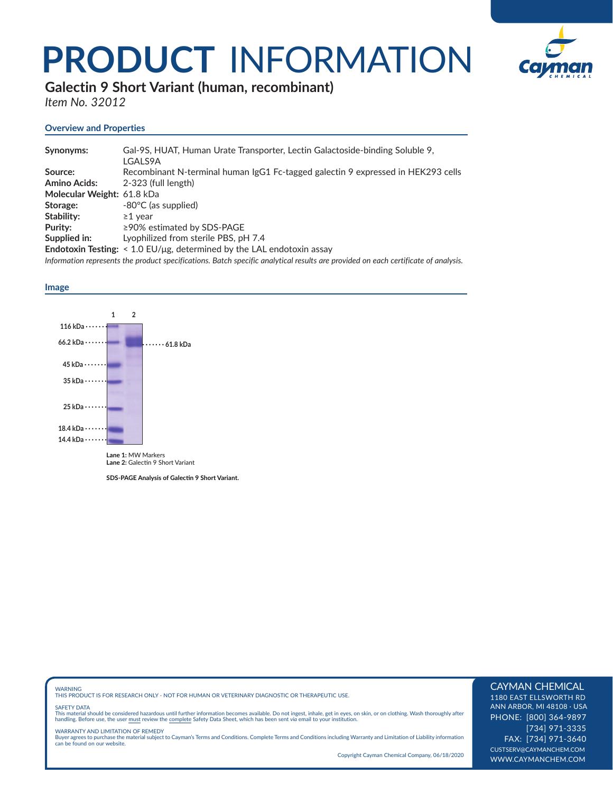## **PRODUCT** INFORMATION



**Galectin 9 Short Variant (human, recombinant)** 

*Item No. 32012*

### **Overview and Properties**

| Synonyms:                  | Gal-9S, HUAT, Human Urate Transporter, Lectin Galactoside-binding Soluble 9,<br>LGALS9A                                            |
|----------------------------|------------------------------------------------------------------------------------------------------------------------------------|
| Source:                    | Recombinant N-terminal human IgG1 Fc-tagged galectin 9 expressed in HEK293 cells                                                   |
| <b>Amino Acids:</b>        | 2-323 (full length)                                                                                                                |
| Molecular Weight: 61.8 kDa |                                                                                                                                    |
| Storage:                   | -80°C (as supplied)                                                                                                                |
| Stability:                 | $\geq$ 1 vear                                                                                                                      |
| Purity:                    | $\geq$ 90% estimated by SDS-PAGE                                                                                                   |
| Supplied in:               | Lyophilized from sterile PBS, pH 7.4                                                                                               |
|                            | <b>Endotoxin Testing:</b> $\leq$ 1.0 EU/µg, determined by the LAL endotoxin assay                                                  |
|                            | Information represents the product specifications. Batch specific analytical results are provided on each certificate of analysis. |

#### **Image**



Lane 2: Galectin 9 Short Variant

**SDS-PAGE Analysis of Galectin 9 Short Variant.** 

WARNING THIS PRODUCT IS FOR RESEARCH ONLY - NOT FOR HUMAN OR VETERINARY DIAGNOSTIC OR THERAPEUTIC USE.

#### SAFETY DATA

This material should be considered hazardous until further information becomes available. Do not ingest, inhale, get in eyes, on skin, or on clothing. Wash thoroughly after<br>handling. Before use, the user must review the co

WARRANTY AND LIMITATION OF REMEDY<br>Buyer agrees to purchase the material subject to Cayman's Terms and Conditions. Complete Terms and Conditions including Warranty and Limitation of Liability information<br>can be found on our

Copyright Cayman Chemical Company, 06/18/2020

### CAYMAN CHEMICAL

1180 EAST ELLSWORTH RD ANN ARBOR, MI 48108 · USA PHONE: [800] 364-9897 [734] 971-3335 FAX: [734] 971-3640 CUSTSERV@CAYMANCHEM.COM WWW.CAYMANCHEM.COM